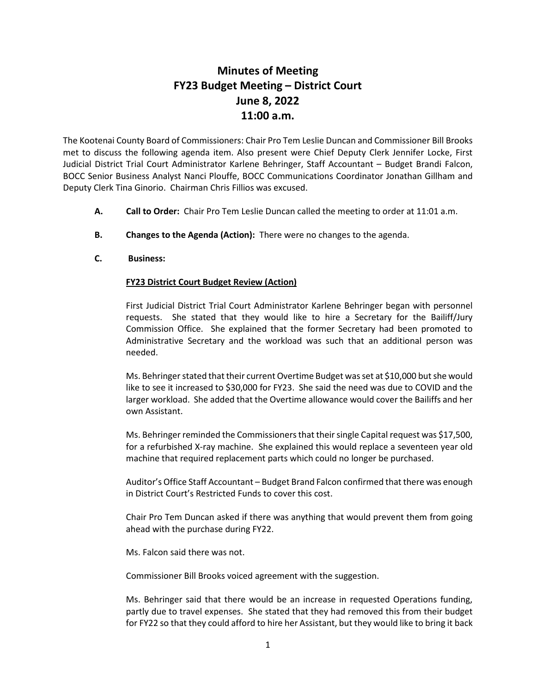## **Minutes of Meeting FY23 Budget Meeting – District Court June 8, 2022 11:00 a.m.**

The Kootenai County Board of Commissioners: Chair Pro Tem Leslie Duncan and Commissioner Bill Brooks met to discuss the following agenda item. Also present were Chief Deputy Clerk Jennifer Locke, First Judicial District Trial Court Administrator Karlene Behringer, Staff Accountant – Budget Brandi Falcon, BOCC Senior Business Analyst Nanci Plouffe, BOCC Communications Coordinator Jonathan Gillham and Deputy Clerk Tina Ginorio. Chairman Chris Fillios was excused.

- **A. Call to Order:** Chair Pro Tem Leslie Duncan called the meeting to order at 11:01 a.m.
- **B. Changes to the Agenda (Action):** There were no changes to the agenda.
- **C. Business:**

## **FY23 District Court Budget Review (Action)**

First Judicial District Trial Court Administrator Karlene Behringer began with personnel requests. She stated that they would like to hire a Secretary for the Bailiff/Jury Commission Office. She explained that the former Secretary had been promoted to Administrative Secretary and the workload was such that an additional person was needed.

Ms. Behringer stated that their current Overtime Budget was set at \$10,000 but she would like to see it increased to \$30,000 for FY23. She said the need was due to COVID and the larger workload. She added that the Overtime allowance would cover the Bailiffs and her own Assistant.

Ms. Behringer reminded the Commissioners that their single Capital request was \$17,500, for a refurbished X-ray machine. She explained this would replace a seventeen year old machine that required replacement parts which could no longer be purchased.

Auditor's Office Staff Accountant – Budget Brand Falcon confirmed that there was enough in District Court's Restricted Funds to cover this cost.

Chair Pro Tem Duncan asked if there was anything that would prevent them from going ahead with the purchase during FY22.

Ms. Falcon said there was not.

Commissioner Bill Brooks voiced agreement with the suggestion.

Ms. Behringer said that there would be an increase in requested Operations funding, partly due to travel expenses. She stated that they had removed this from their budget for FY22 so that they could afford to hire her Assistant, but they would like to bring it back